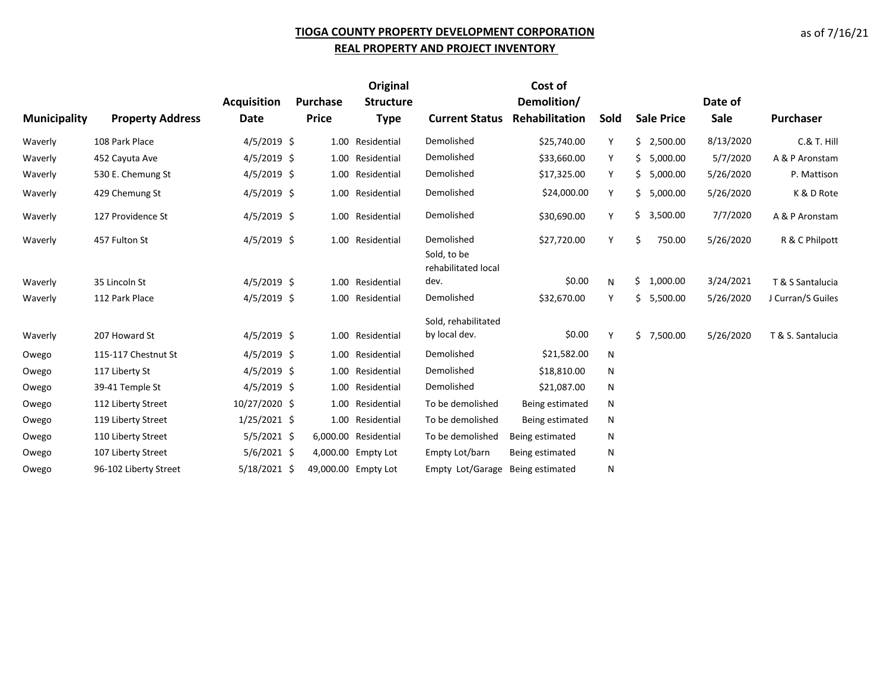## **TIOGA COUNTY PROPERTY DEVELOPMENT CORPORATION REAL PROPERTY AND PROJECT INVENTORY**

|                     |                         |                    |                 | <b>Original</b>      |                                    | Cost of         |      |                   |           |                   |
|---------------------|-------------------------|--------------------|-----------------|----------------------|------------------------------------|-----------------|------|-------------------|-----------|-------------------|
|                     |                         | <b>Acquisition</b> | <b>Purchase</b> | <b>Structure</b>     |                                    | Demolition/     |      |                   | Date of   |                   |
| <b>Municipality</b> | <b>Property Address</b> | Date               | <b>Price</b>    | <b>Type</b>          | <b>Current Status</b>              | Rehabilitation  | Sold | <b>Sale Price</b> | Sale      | <b>Purchaser</b>  |
| Waverly             | 108 Park Place          | $4/5/2019$ \$      |                 | 1.00 Residential     | Demolished                         | \$25,740.00     | Y    | \$2,500.00        | 8/13/2020 | C.& T. Hill       |
| Waverly             | 452 Cayuta Ave          | $4/5/2019$ \$      |                 | 1.00 Residential     | Demolished                         | \$33,660.00     | Υ    | \$5,000.00        | 5/7/2020  | A & P Aronstam    |
| Waverly             | 530 E. Chemung St       | $4/5/2019$ \$      |                 | 1.00 Residential     | Demolished                         | \$17,325.00     | Y    | \$5,000.00        | 5/26/2020 | P. Mattison       |
| Waverly             | 429 Chemung St          | $4/5/2019$ \$      |                 | 1.00 Residential     | Demolished                         | \$24,000.00     | Y    | \$5,000.00        | 5/26/2020 | K & D Rote        |
| Waverly             | 127 Providence St       | $4/5/2019$ \$      |                 | 1.00 Residential     | Demolished                         | \$30,690.00     | Y    | \$3,500.00        | 7/7/2020  | A & P Aronstam    |
| Waverly             | 457 Fulton St           | $4/5/2019$ \$      |                 | 1.00 Residential     | Demolished                         | \$27,720.00     | Y    | Ś.<br>750.00      | 5/26/2020 | R & C Philpott    |
|                     |                         |                    |                 |                      | Sold, to be<br>rehabilitated local |                 |      |                   |           |                   |
| Waverly             | 35 Lincoln St           | $4/5/2019$ \$      |                 | 1.00 Residential     | dev.                               | \$0.00          | N    | \$1,000.00        | 3/24/2021 | T & S Santalucia  |
| Waverly             | 112 Park Place          | $4/5/2019$ \$      |                 | 1.00 Residential     | Demolished                         | \$32,670.00     | Y    | \$5,500.00        | 5/26/2020 | J Curran/S Guiles |
|                     |                         |                    |                 |                      | Sold, rehabilitated                |                 |      |                   |           |                   |
| Waverly             | 207 Howard St           | $4/5/2019$ \$      |                 | 1.00 Residential     | by local dev.                      | \$0.00          | Y    | \$7,500.00        | 5/26/2020 | T & S. Santalucia |
| Owego               | 115-117 Chestnut St     | $4/5/2019$ \$      |                 | 1.00 Residential     | Demolished                         | \$21,582.00     | N    |                   |           |                   |
| Owego               | 117 Liberty St          | $4/5/2019$ \$      |                 | 1.00 Residential     | Demolished                         | \$18,810.00     | N    |                   |           |                   |
| Owego               | 39-41 Temple St         | $4/5/2019$ \$      |                 | 1.00 Residential     | Demolished                         | \$21,087.00     | N    |                   |           |                   |
| Owego               | 112 Liberty Street      | 10/27/2020 \$      |                 | 1.00 Residential     | To be demolished                   | Being estimated | N    |                   |           |                   |
| Owego               | 119 Liberty Street      | $1/25/2021$ \$     |                 | 1.00 Residential     | To be demolished                   | Being estimated | N    |                   |           |                   |
| Owego               | 110 Liberty Street      | $5/5/2021$ \$      |                 | 6,000.00 Residential | To be demolished                   | Being estimated | N    |                   |           |                   |
| Owego               | 107 Liberty Street      | $5/6/2021$ \$      |                 | 4,000.00 Empty Lot   | Empty Lot/barn                     | Being estimated | N    |                   |           |                   |
| Owego               | 96-102 Liberty Street   | 5/18/2021 \$       |                 | 49,000.00 Empty Lot  | Empty Lot/Garage                   | Being estimated | N    |                   |           |                   |

as of 7/16/21